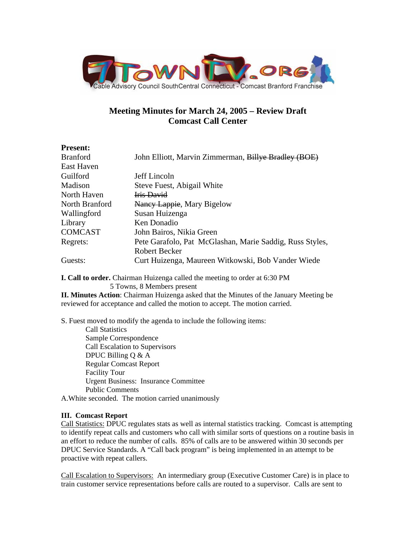

## **Meeting Minutes for March 24, 2005 – Review Draft Comcast Call Center**

## **Present:**

| <b>Branford</b> | John Elliott, Marvin Zimmerman, Billye Bradley (BOE)     |
|-----------------|----------------------------------------------------------|
| East Haven      |                                                          |
| Guilford        | Jeff Lincoln                                             |
| Madison         | Steve Fuest, Abigail White                               |
| North Haven     | <b>Iris David</b>                                        |
| North Branford  | Nancy Lappie, Mary Bigelow                               |
| Wallingford     | Susan Huizenga                                           |
| Library         | Ken Donadio                                              |
| <b>COMCAST</b>  | John Bairos, Nikia Green                                 |
| Regrets:        | Pete Garafolo, Pat McGlashan, Marie Saddig, Russ Styles, |
|                 | Robert Becker                                            |
| Guests:         | Curt Huizenga, Maureen Witkowski, Bob Vander Wiede       |

**I. Call to order.** Chairman Huizenga called the meeting to order at 6:30 PM 5 Towns, 8 Members present

**II. Minutes Action**: Chairman Huizenga asked that the Minutes of the January Meeting be reviewed for acceptance and called the motion to accept. The motion carried.

S. Fuest moved to modify the agenda to include the following items:

 Call Statistics Sample Correspondence Call Escalation to Supervisors DPUC Billing Q & A Regular Comcast Report Facility Tour Urgent Business: Insurance Committee Public Comments

A.White seconded. The motion carried unanimously

## **III. Comcast Report**

Call Statistics: DPUC regulates stats as well as internal statistics tracking. Comcast is attempting to identify repeat calls and customers who call with similar sorts of questions on a routine basis in an effort to reduce the number of calls. 85% of calls are to be answered within 30 seconds per DPUC Service Standards. A "Call back program" is being implemented in an attempt to be proactive with repeat callers.

Call Escalation to Supervisors: An intermediary group (Executive Customer Care) is in place to train customer service representations before calls are routed to a supervisor. Calls are sent to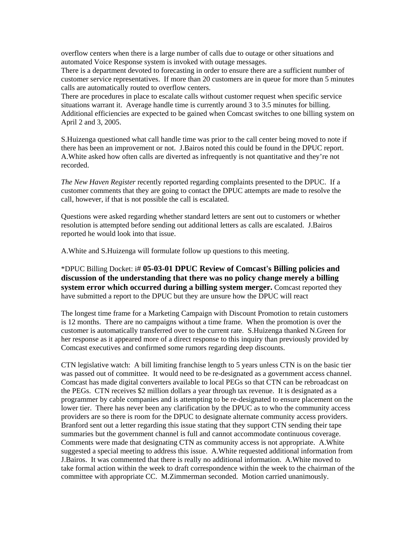overflow centers when there is a large number of calls due to outage or other situations and automated Voice Response system is invoked with outage messages.

There is a department devoted to forecasting in order to ensure there are a sufficient number of customer service representatives. If more than 20 customers are in queue for more than 5 minutes calls are automatically routed to overflow centers.

There are procedures in place to escalate calls without customer request when specific service situations warrant it. Average handle time is currently around 3 to 3.5 minutes for billing. Additional efficiencies are expected to be gained when Comcast switches to one billing system on April 2 and 3, 2005.

S.Huizenga questioned what call handle time was prior to the call center being moved to note if there has been an improvement or not. J.Bairos noted this could be found in the DPUC report. A.White asked how often calls are diverted as infrequently is not quantitative and they're not recorded.

*The New Haven Register* recently reported regarding complaints presented to the DPUC. If a customer comments that they are going to contact the DPUC attempts are made to resolve the call, however, if that is not possible the call is escalated.

Questions were asked regarding whether standard letters are sent out to customers or whether resolution is attempted before sending out additional letters as calls are escalated. J.Bairos reported he would look into that issue.

A.White and S.Huizenga will formulate follow up questions to this meeting.

\*DPUC Billing Docket: i# **05-03-01 DPUC Review of Comcast's Billing policies and discussion of the understanding that there was no policy change merely a billing system error which occurred during a billing system merger.** Comcast reported they have submitted a report to the DPUC but they are unsure how the DPUC will react

The longest time frame for a Marketing Campaign with Discount Promotion to retain customers is 12 months. There are no campaigns without a time frame. When the promotion is over the customer is automatically transferred over to the current rate. S.Huizenga thanked N.Green for her response as it appeared more of a direct response to this inquiry than previously provided by Comcast executives and confirmed some rumors regarding deep discounts.

CTN legislative watch: A bill limiting franchise length to 5 years unless CTN is on the basic tier was passed out of committee. It would need to be re-designated as a government access channel. Comcast has made digital converters available to local PEGs so that CTN can be rebroadcast on the PEGs. CTN receives \$2 million dollars a year through tax revenue. It is designated as a programmer by cable companies and is attempting to be re-designated to ensure placement on the lower tier. There has never been any clarification by the DPUC as to who the community access providers are so there is room for the DPUC to designate alternate community access providers. Branford sent out a letter regarding this issue stating that they support CTN sending their tape summaries but the government channel is full and cannot accommodate continuous coverage. Comments were made that designating CTN as community access is not appropriate. A.White suggested a special meeting to address this issue. A.White requested additional information from J.Bairos. It was commented that there is really no additional information. A.White moved to take formal action within the week to draft correspondence within the week to the chairman of the committee with appropriate CC. M.Zimmerman seconded. Motion carried unanimously.